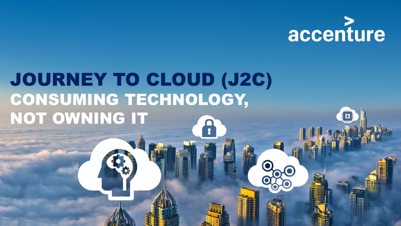

# JOURNEY TO CLOUD (J2C) CONSUMING TECHNOLOGY, NOT OWNING IT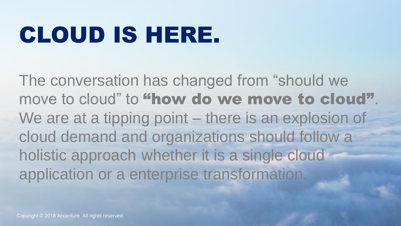# CLOUD IS HERE.

The conversation has changed from "should we move to cloud" to "how do we move to cloud". We are at a tipping point – there is an explosion of cloud demand and organizations should follow a holistic approach whether it is a single cloud application or a enterprise transformation.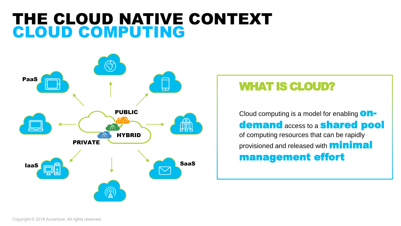## THE CLOUD NATIVE CONTEXT CLOUD COMPUTING



### WHAT IS CLOUD?

Cloud computing is a model for enabling  $\mathbf{O}\mathbf{n}$ demand access to a **shared pool** of computing resources that can be rapidly provisioned and released with **minimal** management effort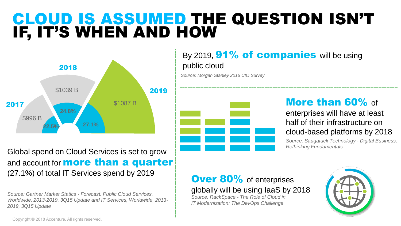## CLOUD IS ASSUMED THE QUESTION ISN'T IF, IT'S WHEN AND HOW



Global spend on Cloud Services is set to grow and account for **more than a quarter** (27.1%) of total IT Services spend by 2019

*Source: Gartner Market Statics - Forecast: Public Cloud Services, Worldwide, 2013-2019, 3Q15 Update and IT Services, Worldwide, 2013- 2019, 3Q15 Update*

### By 2019,  $91\%$  of companies will be using public cloud

*Source: Morgan Stanley 2016 CIO Survey*



### More than 60% of

enterprises will have at least half of their infrastructure on cloud-based platforms by 2018

*Source: Saugatuck Technology - Digital Business, Rethinking Fundamentals.*

#### **Over 80%** of enterprises globally will be using IaaS by 2018

*Source: RackSpace - The Role of Cloud in IT Modernization: The DevOps Challenge*



Copyright © 2018 Accenture. All rights reserved.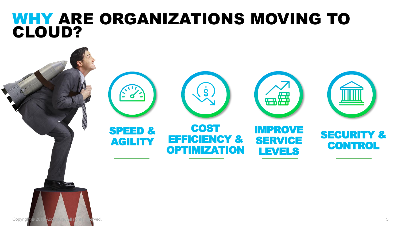## WHY ARE ORGANIZATIONS MOVING TO CLOUD?

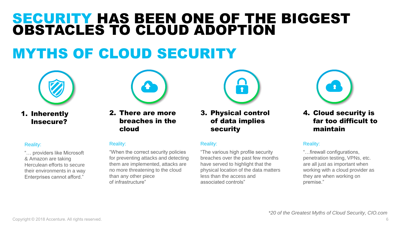## SECURITY HAS BEEN ONE OF THE BIGGEST OBSTACLES TO CLOUD ADOPTION

## MYTHS OF CLOUD SECURITY



1. Inherently Insecure?

#### Reality:

"… providers like Microsoft & Amazon are taking Herculean efforts to secure their environments in a way Enterprises cannot afford."



2. There are more breaches in the cloud

#### Reality:

"When the correct security policies for preventing attacks and detecting them are implemented, attacks are no more threatening to the cloud than any other piece of infrastructure"



3. Physical control of data implies security

#### Reality:

"The various high profile security breaches over the past few months have served to highlight that the physical location of the data matters less than the access and associated controls"



4. Cloud security is far too difficult to maintain

#### Reality:

"…firewall configurations, penetration testing, VPNs, etc. are all just as important when working with a cloud provider as they are when working on premise."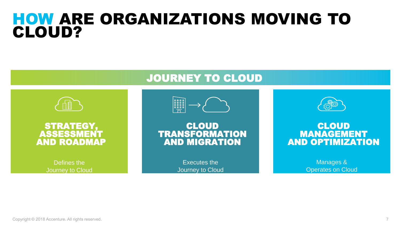## HOW ARE ORGANIZATIONS MOVING TO CLOUD?



Defines the Journey to Cloud

### JOURNEY TO CLOUD

CLOUD STRATEGY AND STRATEGY



CLOUD TRANSFORMATION AND MIGRATION

> Executes the Journey to Cloud



#### **CLOUD** MANAGEMENT AND OPTIMIZATION

Manages & Operates on Cloud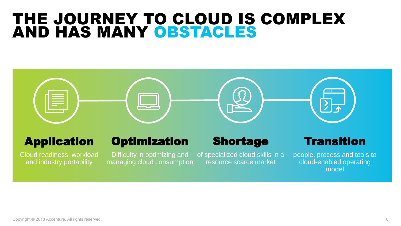## THE JOURNEY TO CLOUD IS COMPLEX AND HAS MANY OBSTACLES



## Application

Cloud readiness, workload and industry portability

## **Optimization**

Difficulty in optimizing and managing cloud consumption

## Shortage

of specialized cloud skills in a resource scarce market

### **Transition**

people, process and tools to cloud-enabled operating model